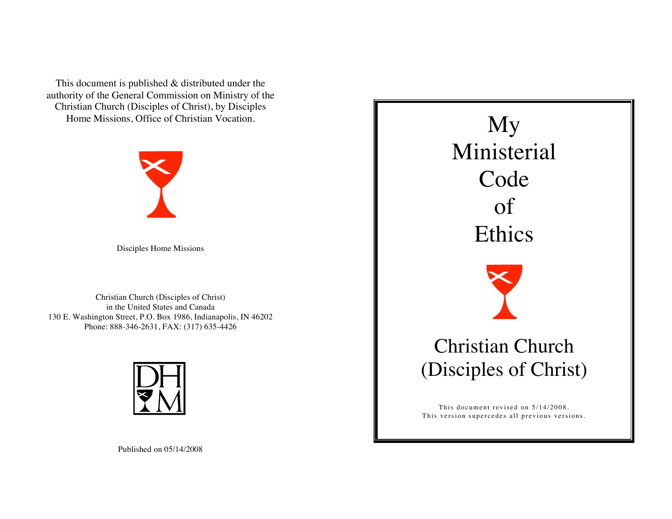This document is published & distributed under the authority of the General Commission on Ministry of the Christian Church (Disciples of Christ), by Disciples Home Missions, Office of Christian Vocation.



Disciples Home Missions

Christian Church (Disciples of Christ) in the United States and Canada 130 E. Washington Street, P.O. Box 1986, Indianapolis, IN 46202 Phone: 888-346-2631, FAX: (317) 635-4426



My Ministerial Code of Ethics Christian Church (Disciples of Christ)

This document revised on  $5/14/2008$ . This version supercedes all previous versions.

Published on 05/14/2008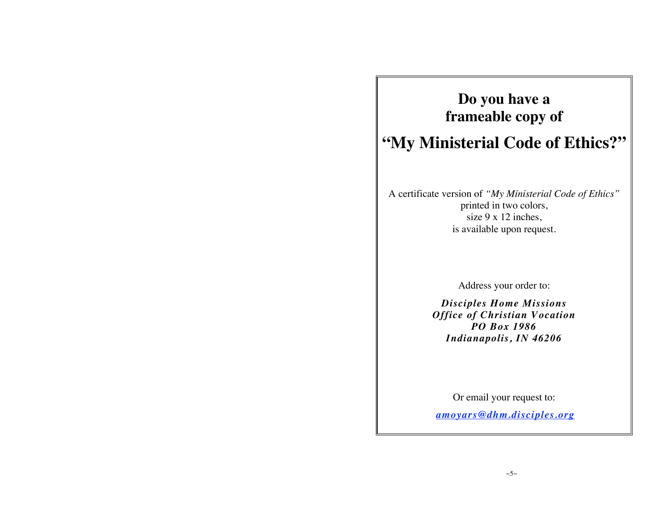## **Do you have a frameable copy of**

# **"My Ministerial Code of Ethics?"**

A certificate version of *"My Ministerial Code of Ethics"*  printed in two colors, size 9 x 12 inches, is available upon request.

Address your order to:

*Disciples Home Missions Office of Christian Vocation PO Box 1986 Indianapolis, IN 46206*

Or email your request to:

*amoyars@dhm.disciples.org*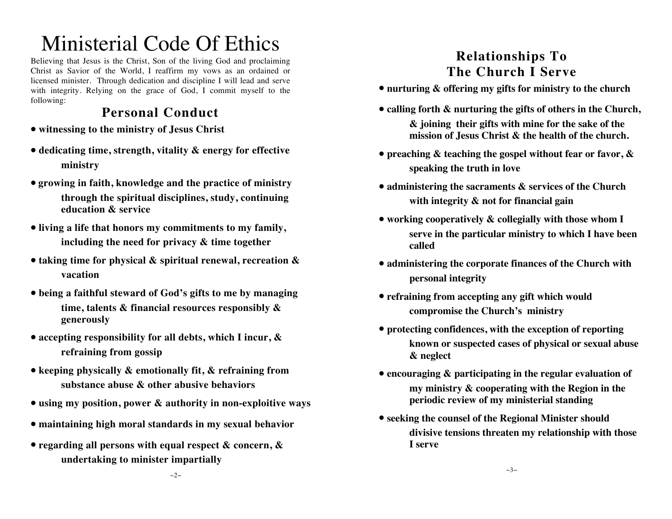# Ministerial Code Of Ethics

Believing that Jesus is the Christ, Son of the living God and proclaiming Christ as Savior of the World, I reaffirm my vows as an ordained or licensed minister. Through dedication and discipline I will lead and serve with integrity. Relying on the grace of God, I commit myself to the following:

### **Personal Conduct**

- **• witnessing to the ministry of Jesus Christ**
- **• dedicating time, strength, vitality & energy for effective ministry**
- **• growing in faith, knowledge and the practice of ministry through the spiritual disciplines, study, continuing education & service**
- **• living a life that honors my commitments to my family, including the need for privacy & time together**
- **• taking time for physical & spiritual renewal, recreation & vacation**
- **• being a faithful steward of God's gifts to me by managing time, talents & financial resources responsibly & generously**
- **• accepting responsibility for all debts, which I incur, & refraining from gossip**
- **• keeping physically & emotionally fit, & refraining from substance abuse & other abusive behaviors**
- **• using my position, power & authority in non-exploitive ways**
- **• maintaining high moral standards in my sexual behavior**
- **• regarding all persons with equal respect & concern, & undertaking to minister impartially**

### **Relationships To The Church I Serve**

- **• nurturing & offering my gifts for ministry to the church**
- **• calling forth & nurturing the gifts of others in the Church, & joining their gifts with mine for the sake of the mission of Jesus Christ & the health of the church.**
- **• preaching & teaching the gospel without fear or favor, & speaking the truth in love**
- **• administering the sacraments & services of the Church with integrity & not for financial gain**
- **• working cooperatively & collegially with those whom I serve in the particular ministry to which I have been called**
- **• administering the corporate finances of the Church with personal integrity**
- **• refraining from accepting any gift which would compromise the Church's ministry**
- **• protecting confidences, with the exception of reporting known or suspected cases of physical or sexual abuse & neglect**
- **• encouraging & participating in the regular evaluation of my ministry & cooperating with the Region in the periodic review of my ministerial standing**
- **• seeking the counsel of the Regional Minister should divisive tensions threaten my relationship with those I serve**